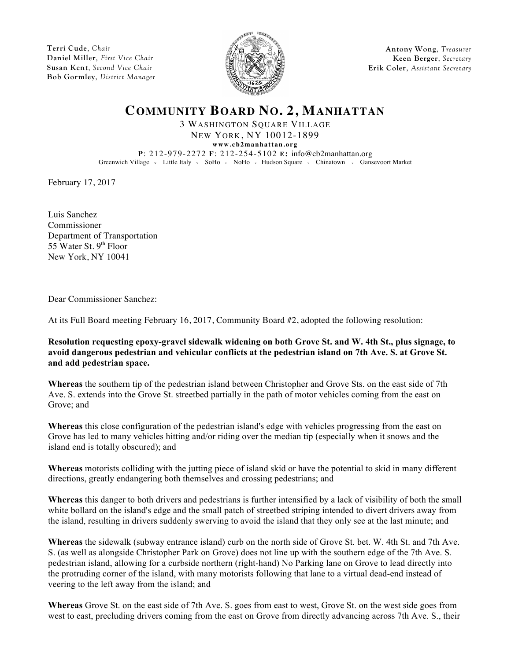**Terri Cude**, *Chair* **Daniel Miller**, *First Vice Chair* **Susan Kent**, *Second Vice Chair* **Bob Gormley**, *District Manager*



**Antony Wong**, *Treasurer* **Keen Berger**, *Secretary* **Erik Coler**, *Assistant Secretary*

## **COMMUNITY BOARD NO. 2, MANHATTAN**

3 WASHINGTON SQUARE VILLAGE NEW YORK, NY 10012-1899 **www.cb2manhattan.org**

**P**: 212-979-2272 **F**: 212-254-5102 **E:** info@cb2manhattan.org Greenwich Village v Little Italy v SoHo v NoHo v Hudson Square v Chinatown v Gansevoort Market

February 17, 2017

Luis Sanchez Commissioner Department of Transportation 55 Water St.  $9<sup>th</sup>$  Floor New York, NY 10041

Dear Commissioner Sanchez:

At its Full Board meeting February 16, 2017, Community Board #2, adopted the following resolution:

**Resolution requesting epoxy-gravel sidewalk widening on both Grove St. and W. 4th St., plus signage, to avoid dangerous pedestrian and vehicular conflicts at the pedestrian island on 7th Ave. S. at Grove St. and add pedestrian space.**

**Whereas** the southern tip of the pedestrian island between Christopher and Grove Sts. on the east side of 7th Ave. S. extends into the Grove St. streetbed partially in the path of motor vehicles coming from the east on Grove; and

**Whereas** this close configuration of the pedestrian island's edge with vehicles progressing from the east on Grove has led to many vehicles hitting and/or riding over the median tip (especially when it snows and the island end is totally obscured); and

**Whereas** motorists colliding with the jutting piece of island skid or have the potential to skid in many different directions, greatly endangering both themselves and crossing pedestrians; and

**Whereas** this danger to both drivers and pedestrians is further intensified by a lack of visibility of both the small white bollard on the island's edge and the small patch of streetbed striping intended to divert drivers away from the island, resulting in drivers suddenly swerving to avoid the island that they only see at the last minute; and

**Whereas** the sidewalk (subway entrance island) curb on the north side of Grove St. bet. W. 4th St. and 7th Ave. S. (as well as alongside Christopher Park on Grove) does not line up with the southern edge of the 7th Ave. S. pedestrian island, allowing for a curbside northern (right-hand) No Parking lane on Grove to lead directly into the protruding corner of the island, with many motorists following that lane to a virtual dead-end instead of veering to the left away from the island; and

**Whereas** Grove St. on the east side of 7th Ave. S. goes from east to west, Grove St. on the west side goes from west to east, precluding drivers coming from the east on Grove from directly advancing across 7th Ave. S., their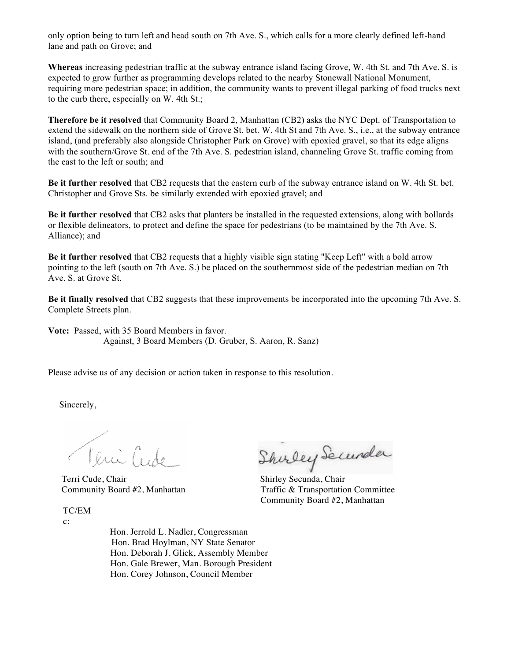only option being to turn left and head south on 7th Ave. S., which calls for a more clearly defined left-hand lane and path on Grove; and

**Whereas** increasing pedestrian traffic at the subway entrance island facing Grove, W. 4th St. and 7th Ave. S. is expected to grow further as programming develops related to the nearby Stonewall National Monument, requiring more pedestrian space; in addition, the community wants to prevent illegal parking of food trucks next to the curb there, especially on W. 4th St.;

**Therefore be it resolved** that Community Board 2, Manhattan (CB2) asks the NYC Dept. of Transportation to extend the sidewalk on the northern side of Grove St. bet. W. 4th St and 7th Ave. S., i.e., at the subway entrance island, (and preferably also alongside Christopher Park on Grove) with epoxied gravel, so that its edge aligns with the southern/Grove St. end of the 7th Ave. S. pedestrian island, channeling Grove St. traffic coming from the east to the left or south; and

**Be it further resolved** that CB2 requests that the eastern curb of the subway entrance island on W. 4th St. bet. Christopher and Grove Sts. be similarly extended with epoxied gravel; and

**Be it further resolved** that CB2 asks that planters be installed in the requested extensions, along with bollards or flexible delineators, to protect and define the space for pedestrians (to be maintained by the 7th Ave. S. Alliance); and

**Be it further resolved** that CB2 requests that a highly visible sign stating "Keep Left" with a bold arrow pointing to the left (south on 7th Ave. S.) be placed on the southernmost side of the pedestrian median on 7th Ave. S. at Grove St.

**Be it finally resolved** that CB2 suggests that these improvements be incorporated into the upcoming 7th Ave. S. Complete Streets plan.

**Vote:** Passed, with 35 Board Members in favor. Against, 3 Board Members (D. Gruber, S. Aaron, R. Sanz)

Please advise us of any decision or action taken in response to this resolution.

Sincerely,

Teni Cude

TC/EM

c:

Veuillet Shirley Securela

Community Board #2, Manhattan Traffic & Transportation Committee Community Board #2, Manhattan

 Hon. Jerrold L. Nadler, Congressman Hon. Brad Hoylman, NY State Senator Hon. Deborah J. Glick, Assembly Member Hon. Gale Brewer, Man. Borough President Hon. Corey Johnson, Council Member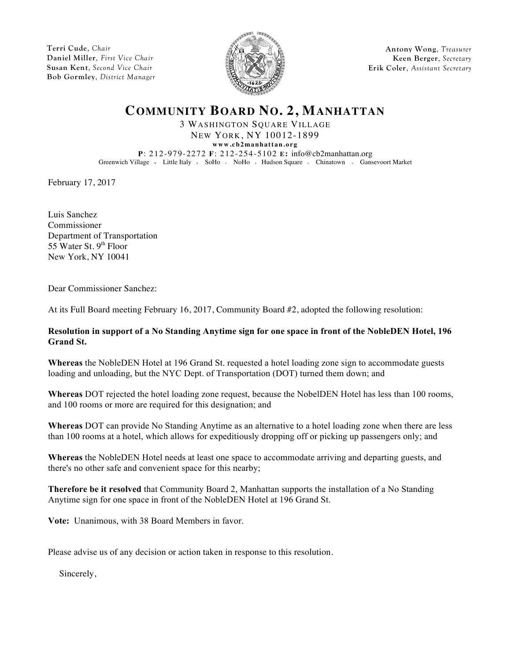**Terri Cude**, *Chair* **Daniel Miller**, *First Vice Chair* **Susan Kent**, *Second Vice Chair* **Bob Gormley**, *District Manager*



**Antony Wong**, *Treasurer* **Keen Berger**, *Secretary* **Erik Coler**, *Assistant Secretary*

## **COMMUNITY BOARD NO. 2, MANHATTAN**

3 WASHINGTON SQUARE VILLAGE NEW YORK, NY 10012-1899 **www.cb2manhattan.org**

**P**: 212-979-2272 **F**: 212-254-5102 **E:** info@cb2manhattan.org Greenwich Village v Little Italy v SoHo v NoHo v Hudson Square v Chinatown v Gansevoort Market

February 17, 2017

Luis Sanchez Commissioner Department of Transportation 55 Water St.  $9<sup>th</sup>$  Floor New York, NY 10041

Dear Commissioner Sanchez:

At its Full Board meeting February 16, 2017, Community Board #2, adopted the following resolution:

## **Resolution in support of a No Standing Anytime sign for one space in front of the NobleDEN Hotel, 196 Grand St.**

**Whereas** the NobleDEN Hotel at 196 Grand St. requested a hotel loading zone sign to accommodate guests loading and unloading, but the NYC Dept. of Transportation (DOT) turned them down; and

**Whereas** DOT rejected the hotel loading zone request, because the NobelDEN Hotel has less than 100 rooms, and 100 rooms or more are required for this designation; and

**Whereas** DOT can provide No Standing Anytime as an alternative to a hotel loading zone when there are less than 100 rooms at a hotel, which allows for expeditiously dropping off or picking up passengers only; and

**Whereas** the NobleDEN Hotel needs at least one space to accommodate arriving and departing guests, and there's no other safe and convenient space for this nearby;

**Therefore be it resolved** that Community Board 2, Manhattan supports the installation of a No Standing Anytime sign for one space in front of the NobleDEN Hotel at 196 Grand St.

**Vote:** Unanimous, with 38 Board Members in favor.

Please advise us of any decision or action taken in response to this resolution.

Sincerely,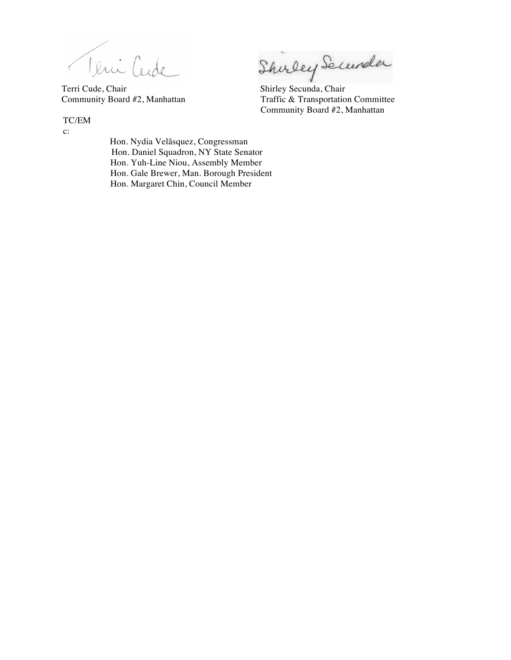Teni Cude Shirley Secundar<br>Terri Cude, Chair Shirley Secunda, Chair

Community Board #2, Manhattan Traffic & Transportation Committee Community Board #2, Manhattan

TC/EM

c:

 Hon. Nydia Velãsquez, Congressman Hon. Daniel Squadron, NY State Senator Hon. Yuh-Line Niou, Assembly Member Hon. Gale Brewer, Man. Borough President Hon. Margaret Chin, Council Member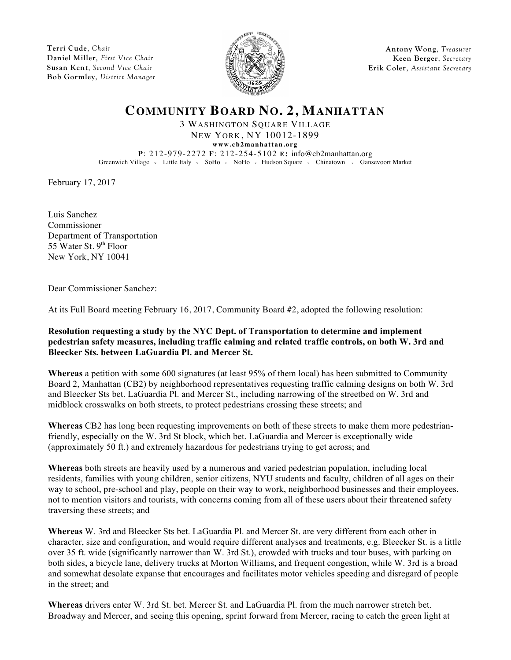**Terri Cude**, *Chair* **Daniel Miller**, *First Vice Chair* **Susan Kent**, *Second Vice Chair* **Bob Gormley**, *District Manager*



**Antony Wong**, *Treasurer* **Keen Berger**, *Secretary* **Erik Coler**, *Assistant Secretary*

## **COMMUNITY BOARD NO. 2, MANHATTAN**

3 WASHINGTON SQUARE VILLAGE NEW YORK, NY 10012-1899

**www.cb2manhattan.org P**: 212-979-2272 **F**: 212-254-5102 **E:** info@cb2manhattan.org Greenwich Village v Little Italy v SoHo v NoHo v Hudson Square v Chinatown v Gansevoort Market

February 17, 2017

Luis Sanchez Commissioner Department of Transportation 55 Water St.  $9<sup>th</sup>$  Floor New York, NY 10041

Dear Commissioner Sanchez:

At its Full Board meeting February 16, 2017, Community Board #2, adopted the following resolution:

**Resolution requesting a study by the NYC Dept. of Transportation to determine and implement pedestrian safety measures, including traffic calming and related traffic controls, on both W. 3rd and Bleecker Sts. between LaGuardia Pl. and Mercer St.**

**Whereas** a petition with some 600 signatures (at least 95% of them local) has been submitted to Community Board 2, Manhattan (CB2) by neighborhood representatives requesting traffic calming designs on both W. 3rd and Bleecker Sts bet. LaGuardia Pl. and Mercer St., including narrowing of the streetbed on W. 3rd and midblock crosswalks on both streets, to protect pedestrians crossing these streets; and

**Whereas** CB2 has long been requesting improvements on both of these streets to make them more pedestrianfriendly, especially on the W. 3rd St block, which bet. LaGuardia and Mercer is exceptionally wide (approximately 50 ft.) and extremely hazardous for pedestrians trying to get across; and

**Whereas** both streets are heavily used by a numerous and varied pedestrian population, including local residents, families with young children, senior citizens, NYU students and faculty, children of all ages on their way to school, pre-school and play, people on their way to work, neighborhood businesses and their employees, not to mention visitors and tourists, with concerns coming from all of these users about their threatened safety traversing these streets; and

**Whereas** W. 3rd and Bleecker Sts bet. LaGuardia Pl. and Mercer St. are very different from each other in character, size and configuration, and would require different analyses and treatments, e.g. Bleecker St. is a little over 35 ft. wide (significantly narrower than W. 3rd St.), crowded with trucks and tour buses, with parking on both sides, a bicycle lane, delivery trucks at Morton Williams, and frequent congestion, while W. 3rd is a broad and somewhat desolate expanse that encourages and facilitates motor vehicles speeding and disregard of people in the street; and

**Whereas** drivers enter W. 3rd St. bet. Mercer St. and LaGuardia Pl. from the much narrower stretch bet. Broadway and Mercer, and seeing this opening, sprint forward from Mercer, racing to catch the green light at